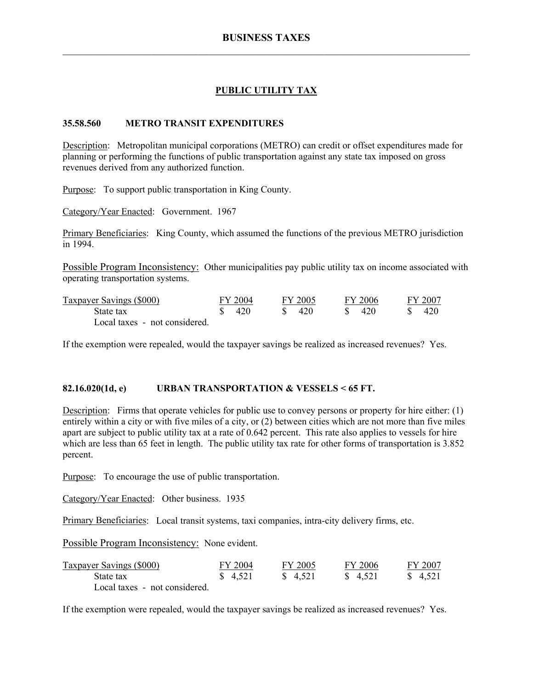# **PUBLIC UTILITY TAX**

#### **35.58.560 METRO TRANSIT EXPENDITURES**

Description: Metropolitan municipal corporations (METRO) can credit or offset expenditures made for planning or performing the functions of public transportation against any state tax imposed on gross revenues derived from any authorized function.

Purpose: To support public transportation in King County.

Category/Year Enacted: Government. 1967

Primary Beneficiaries: King County, which assumed the functions of the previous METRO jurisdiction in 1994.

Possible Program Inconsistency: Other municipalities pay public utility tax on income associated with operating transportation systems.

| Taxpayer Savings (\$000)      | FY 2004 | FY 2005 | FY 2006 |  | FY 2007 |
|-------------------------------|---------|---------|---------|--|---------|
| State tax                     | 420     | 420     | 420     |  | 420     |
| Local taxes - not considered. |         |         |         |  |         |

If the exemption were repealed, would the taxpayer savings be realized as increased revenues? Yes.

#### **82.16.020(1d, e) URBAN TRANSPORTATION & VESSELS < 65 FT.**

Description: Firms that operate vehicles for public use to convey persons or property for hire either: (1) entirely within a city or with five miles of a city, or (2) between cities which are not more than five miles apart are subject to public utility tax at a rate of 0.642 percent. This rate also applies to vessels for hire which are less than 65 feet in length. The public utility tax rate for other forms of transportation is 3.852 percent.

Purpose: To encourage the use of public transportation.

Category/Year Enacted: Other business. 1935

Primary Beneficiaries: Local transit systems, taxi companies, intra-city delivery firms, etc.

Possible Program Inconsistency: None evident.

| <b>Taxpayer Savings (\$000)</b> | FY 2004 | FY 2005  | FY 2006  | FY 2007  |
|---------------------------------|---------|----------|----------|----------|
| State tax                       | \$4,521 | \$ 4.521 | \$ 4.521 | \$ 4.521 |
| Local taxes - not considered.   |         |          |          |          |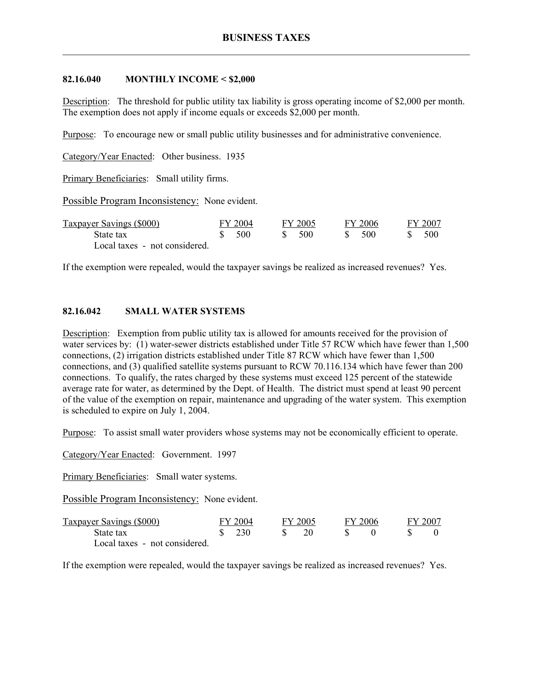#### **82.16.040 MONTHLY INCOME < \$2,000**

Description: The threshold for public utility tax liability is gross operating income of \$2,000 per month. The exemption does not apply if income equals or exceeds \$2,000 per month.

Purpose: To encourage new or small public utility businesses and for administrative convenience.

Category/Year Enacted: Other business. 1935

Primary Beneficiaries: Small utility firms.

Possible Program Inconsistency: None evident.

| Taxpayer Savings (\$000)      | FY 2004 |  | FY 2005 |  | FY 2006 |  | FY 2007 |
|-------------------------------|---------|--|---------|--|---------|--|---------|
| State tax                     | -500    |  | - 500   |  | -500    |  |         |
| Local taxes - not considered. |         |  |         |  |         |  |         |

If the exemption were repealed, would the taxpayer savings be realized as increased revenues? Yes.

### **82.16.042 SMALL WATER SYSTEMS**

Description: Exemption from public utility tax is allowed for amounts received for the provision of water services by: (1) water-sewer districts established under Title 57 RCW which have fewer than 1,500 connections, (2) irrigation districts established under Title 87 RCW which have fewer than 1,500 connections, and (3) qualified satellite systems pursuant to RCW 70.116.134 which have fewer than 200 connections. To qualify, the rates charged by these systems must exceed 125 percent of the statewide average rate for water, as determined by the Dept. of Health. The district must spend at least 90 percent of the value of the exemption on repair, maintenance and upgrading of the water system. This exemption is scheduled to expire on July 1, 2004.

Purpose: To assist small water providers whose systems may not be economically efficient to operate.

Category/Year Enacted: Government. 1997

Primary Beneficiaries: Small water systems.

Possible Program Inconsistency: None evident.

| Taxpayer Savings (\$000)      | FY 2004                       |  | FY 2005 |  | FY 2006 |  | FY 2007 |
|-------------------------------|-------------------------------|--|---------|--|---------|--|---------|
| State tax                     | $\frac{\text{S}}{\text{230}}$ |  |         |  |         |  |         |
| Local taxes - not considered. |                               |  |         |  |         |  |         |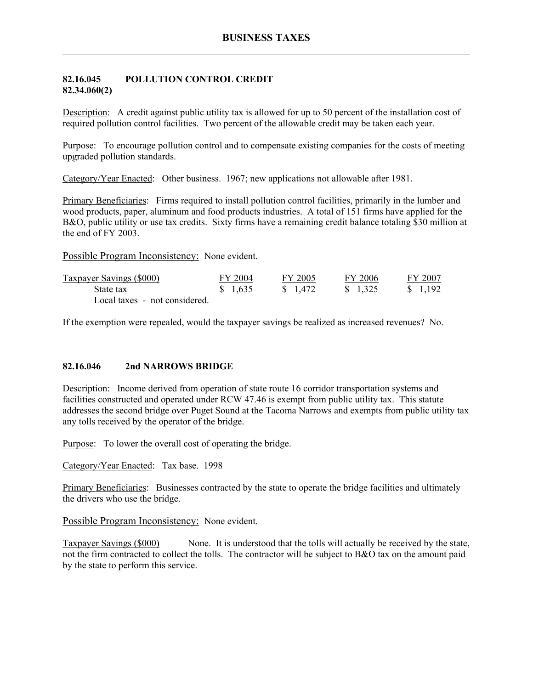### **82.16.045 POLLUTION CONTROL CREDIT 82.34.060(2)**

Description: A credit against public utility tax is allowed for up to 50 percent of the installation cost of required pollution control facilities. Two percent of the allowable credit may be taken each year.

Purpose: To encourage pollution control and to compensate existing companies for the costs of meeting upgraded pollution standards.

Category/Year Enacted: Other business. 1967; new applications not allowable after 1981.

Primary Beneficiaries: Firms required to install pollution control facilities, primarily in the lumber and wood products, paper, aluminum and food products industries. A total of 151 firms have applied for the B&O, public utility or use tax credits. Sixty firms have a remaining credit balance totaling \$30 million at the end of FY 2003.

Possible Program Inconsistency: None evident.

| Taxpayer Savings (\$000)      | FY 2004 | FY 2005  | FY 2006  | FY 2007  |
|-------------------------------|---------|----------|----------|----------|
| State tax                     | \$1,635 | \$ 1,472 | \$ 1.325 | \$ 1.192 |
| Local taxes - not considered. |         |          |          |          |

If the exemption were repealed, would the taxpayer savings be realized as increased revenues? No.

### **82.16.046 2nd NARROWS BRIDGE**

Description: Income derived from operation of state route 16 corridor transportation systems and facilities constructed and operated under RCW 47.46 is exempt from public utility tax. This statute addresses the second bridge over Puget Sound at the Tacoma Narrows and exempts from public utility tax any tolls received by the operator of the bridge.

Purpose: To lower the overall cost of operating the bridge.

Category/Year Enacted: Tax base. 1998

Primary Beneficiaries: Businesses contracted by the state to operate the bridge facilities and ultimately the drivers who use the bridge.

Possible Program Inconsistency: None evident.

Taxpayer Savings (\$000) None. It is understood that the tolls will actually be received by the state, not the firm contracted to collect the tolls. The contractor will be subject to B&O tax on the amount paid by the state to perform this service.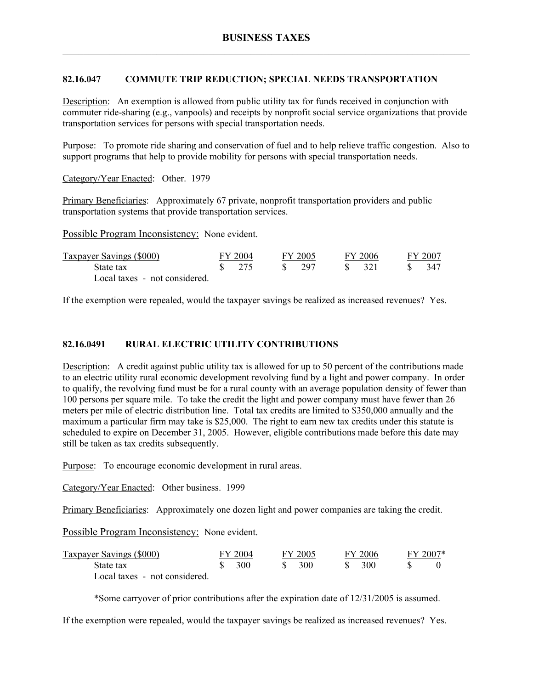# **82.16.047 COMMUTE TRIP REDUCTION; SPECIAL NEEDS TRANSPORTATION**

Description: An exemption is allowed from public utility tax for funds received in conjunction with commuter ride-sharing (e.g., vanpools) and receipts by nonprofit social service organizations that provide transportation services for persons with special transportation needs.

Purpose: To promote ride sharing and conservation of fuel and to help relieve traffic congestion. Also to support programs that help to provide mobility for persons with special transportation needs.

Category/Year Enacted: Other. 1979

Primary Beneficiaries: Approximately 67 private, nonprofit transportation providers and public transportation systems that provide transportation services.

Possible Program Inconsistency: None evident.

| <b>Taxpayer Savings (\$000)</b> | FY 2004                         |  | FY 2005 |        | FY 2006         |      | FY 2007 |
|---------------------------------|---------------------------------|--|---------|--------|-----------------|------|---------|
| State tax                       | $\frac{\text{S}}{\text{S}}$ 275 |  | S 297   | - 85 - | $\frac{321}{2}$ | - 85 | 347     |
| Local taxes - not considered.   |                                 |  |         |        |                 |      |         |

If the exemption were repealed, would the taxpayer savings be realized as increased revenues? Yes.

### **82.16.0491 RURAL ELECTRIC UTILITY CONTRIBUTIONS**

Description: A credit against public utility tax is allowed for up to 50 percent of the contributions made to an electric utility rural economic development revolving fund by a light and power company. In order to qualify, the revolving fund must be for a rural county with an average population density of fewer than 100 persons per square mile. To take the credit the light and power company must have fewer than 26 meters per mile of electric distribution line. Total tax credits are limited to \$350,000 annually and the maximum a particular firm may take is \$25,000. The right to earn new tax credits under this statute is scheduled to expire on December 31, 2005. However, eligible contributions made before this date may still be taken as tax credits subsequently.

Purpose: To encourage economic development in rural areas.

Category/Year Enacted: Other business. 1999

Primary Beneficiaries: Approximately one dozen light and power companies are taking the credit.

Possible Program Inconsistency: None evident.

| Taxpayer Savings (\$000)      | FY 2004 | FY 2005 | FY 2006 | $FY 2007*$ |
|-------------------------------|---------|---------|---------|------------|
| State tax                     | 300     | 300     | 300     |            |
| Local taxes - not considered. |         |         |         |            |

\*Some carryover of prior contributions after the expiration date of 12/31/2005 is assumed.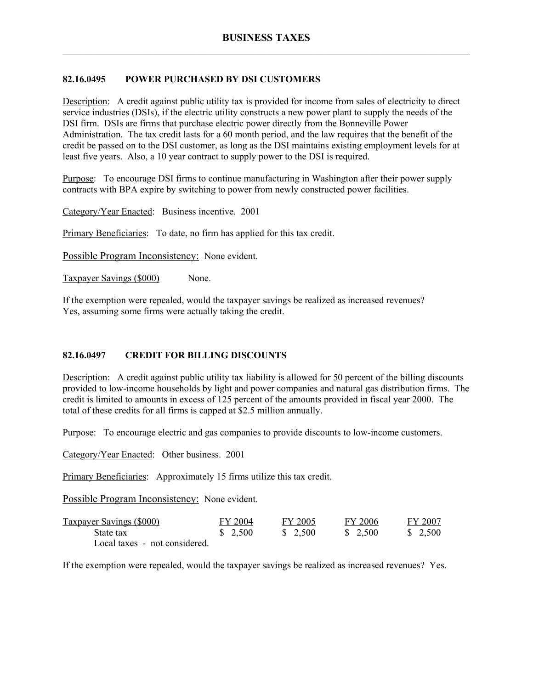# **82.16.0495 POWER PURCHASED BY DSI CUSTOMERS**

Description: A credit against public utility tax is provided for income from sales of electricity to direct service industries (DSIs), if the electric utility constructs a new power plant to supply the needs of the DSI firm. DSIs are firms that purchase electric power directly from the Bonneville Power Administration. The tax credit lasts for a 60 month period, and the law requires that the benefit of the credit be passed on to the DSI customer, as long as the DSI maintains existing employment levels for at least five years. Also, a 10 year contract to supply power to the DSI is required.

Purpose: To encourage DSI firms to continue manufacturing in Washington after their power supply contracts with BPA expire by switching to power from newly constructed power facilities.

Category/Year Enacted: Business incentive. 2001

Primary Beneficiaries: To date, no firm has applied for this tax credit.

Possible Program Inconsistency: None evident.

Taxpayer Savings (\$000) None.

If the exemption were repealed, would the taxpayer savings be realized as increased revenues? Yes, assuming some firms were actually taking the credit.

# **82.16.0497 CREDIT FOR BILLING DISCOUNTS**

Description: A credit against public utility tax liability is allowed for 50 percent of the billing discounts provided to low-income households by light and power companies and natural gas distribution firms. The credit is limited to amounts in excess of 125 percent of the amounts provided in fiscal year 2000. The total of these credits for all firms is capped at \$2.5 million annually.

Purpose: To encourage electric and gas companies to provide discounts to low-income customers.

Category/Year Enacted: Other business. 2001

Primary Beneficiaries: Approximately 15 firms utilize this tax credit.

Possible Program Inconsistency: None evident.

| <b>Taxpayer Savings (\$000)</b> | FY 2004 | FY 2005 | FY 2006            | FY 2007 |
|---------------------------------|---------|---------|--------------------|---------|
| State tax                       | \$2,500 | \$2,500 | $\frac{\$}{2.500}$ | \$2,500 |
| Local taxes - not considered.   |         |         |                    |         |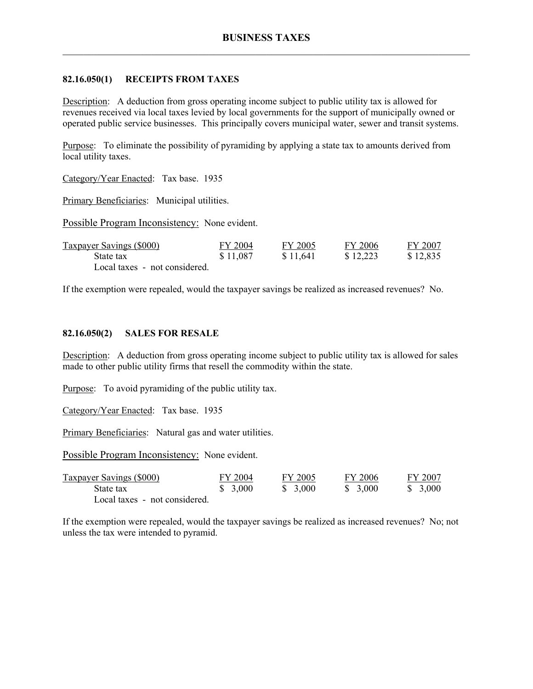### **82.16.050(1) RECEIPTS FROM TAXES**

Description: A deduction from gross operating income subject to public utility tax is allowed for revenues received via local taxes levied by local governments for the support of municipally owned or operated public service businesses. This principally covers municipal water, sewer and transit systems.

Purpose: To eliminate the possibility of pyramiding by applying a state tax to amounts derived from local utility taxes.

Category/Year Enacted: Tax base. 1935

Primary Beneficiaries: Municipal utilities.

Possible Program Inconsistency: None evident.

| <b>Taxpayer Savings (\$000)</b> | FY 2004  | FY 2005  | FY 2006  | FY 2007  |
|---------------------------------|----------|----------|----------|----------|
| State tax                       | \$11,087 | \$11,641 | \$12,223 | \$12,835 |
| Local taxes - not considered.   |          |          |          |          |

If the exemption were repealed, would the taxpayer savings be realized as increased revenues? No.

#### **82.16.050(2) SALES FOR RESALE**

Description: A deduction from gross operating income subject to public utility tax is allowed for sales made to other public utility firms that resell the commodity within the state.

Purpose: To avoid pyramiding of the public utility tax.

Category/Year Enacted: Tax base. 1935

Primary Beneficiaries: Natural gas and water utilities.

Possible Program Inconsistency: None evident.

| Taxpayer Savings (\$000)      | FY 2004  | FY 2005  | FY 2006  | FY 2007  |
|-------------------------------|----------|----------|----------|----------|
| State tax                     | \$ 3,000 | \$ 3,000 | \$ 3,000 | \$ 3,000 |
| Local taxes - not considered. |          |          |          |          |

If the exemption were repealed, would the taxpayer savings be realized as increased revenues? No; not unless the tax were intended to pyramid.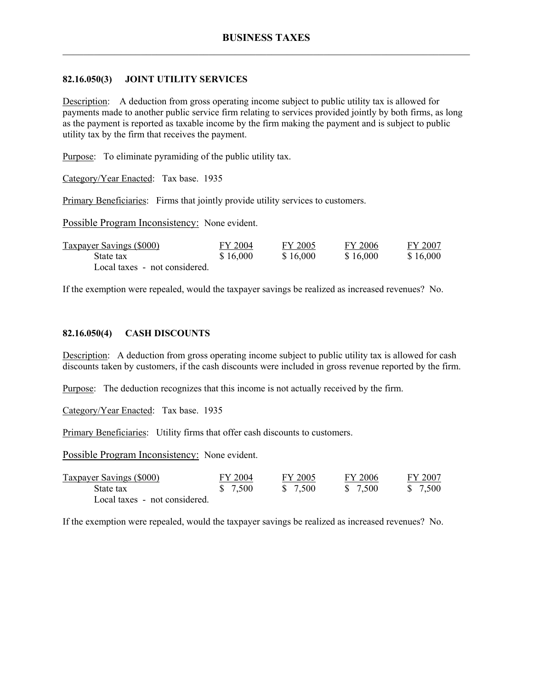### **82.16.050(3) JOINT UTILITY SERVICES**

Description: A deduction from gross operating income subject to public utility tax is allowed for payments made to another public service firm relating to services provided jointly by both firms, as long as the payment is reported as taxable income by the firm making the payment and is subject to public utility tax by the firm that receives the payment.

Purpose: To eliminate pyramiding of the public utility tax.

Category/Year Enacted: Tax base. 1935

Primary Beneficiaries: Firms that jointly provide utility services to customers.

Possible Program Inconsistency: None evident.

| <b>Taxpayer Savings (\$000)</b> | FY 2004  | FY 2005  | FY 2006  | FY 2007  |
|---------------------------------|----------|----------|----------|----------|
| State tax                       | \$16,000 | \$16,000 | \$16,000 | \$16,000 |
| Local taxes - not considered.   |          |          |          |          |

If the exemption were repealed, would the taxpayer savings be realized as increased revenues? No.

### **82.16.050(4) CASH DISCOUNTS**

Description: A deduction from gross operating income subject to public utility tax is allowed for cash discounts taken by customers, if the cash discounts were included in gross revenue reported by the firm.

Purpose: The deduction recognizes that this income is not actually received by the firm.

Category/Year Enacted: Tax base. 1935

Primary Beneficiaries: Utility firms that offer cash discounts to customers.

Possible Program Inconsistency: None evident.

| <b>Taxpayer Savings (\$000)</b> | FY 2004  | FY 2005  | FY 2006  | FY 2007  |
|---------------------------------|----------|----------|----------|----------|
| State tax                       | \$ 7,500 | \$ 7,500 | \$ 7,500 | \$ 7,500 |
| Local taxes - not considered.   |          |          |          |          |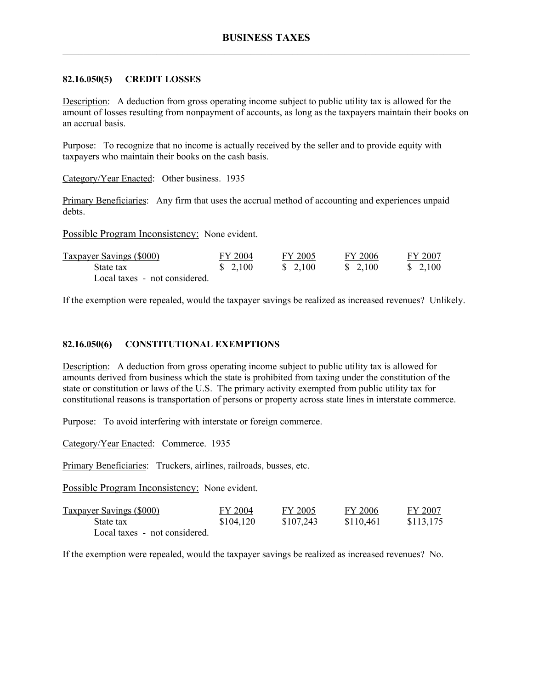### **82.16.050(5) CREDIT LOSSES**

Description: A deduction from gross operating income subject to public utility tax is allowed for the amount of losses resulting from nonpayment of accounts, as long as the taxpayers maintain their books on an accrual basis.

Purpose: To recognize that no income is actually received by the seller and to provide equity with taxpayers who maintain their books on the cash basis.

Category/Year Enacted: Other business. 1935

Primary Beneficiaries: Any firm that uses the accrual method of accounting and experiences unpaid debts.

Possible Program Inconsistency: None evident.

| <b>Taxpayer Savings (\$000)</b> | FY 2004            | FY 2005                           | FY 2006            | FY 2007  |
|---------------------------------|--------------------|-----------------------------------|--------------------|----------|
| State tax                       | $\frac{\$}{2,100}$ | $\frac{\text{S}}{\text{2}}$ , 100 | $\frac{\$}{2,100}$ | \$ 2.100 |
| Local taxes - not considered.   |                    |                                   |                    |          |

If the exemption were repealed, would the taxpayer savings be realized as increased revenues? Unlikely.

### **82.16.050(6) CONSTITUTIONAL EXEMPTIONS**

Description: A deduction from gross operating income subject to public utility tax is allowed for amounts derived from business which the state is prohibited from taxing under the constitution of the state or constitution or laws of the U.S. The primary activity exempted from public utility tax for constitutional reasons is transportation of persons or property across state lines in interstate commerce.

Purpose: To avoid interfering with interstate or foreign commerce.

Category/Year Enacted: Commerce. 1935

Primary Beneficiaries: Truckers, airlines, railroads, busses, etc.

Possible Program Inconsistency: None evident.

| <b>Taxpayer Savings (\$000)</b> | FY 2004   | FY 2005   | FY 2006   | FY 2007   |
|---------------------------------|-----------|-----------|-----------|-----------|
| State tax                       | \$104,120 | \$107,243 | \$110,461 | \$113,175 |
| Local taxes - not considered.   |           |           |           |           |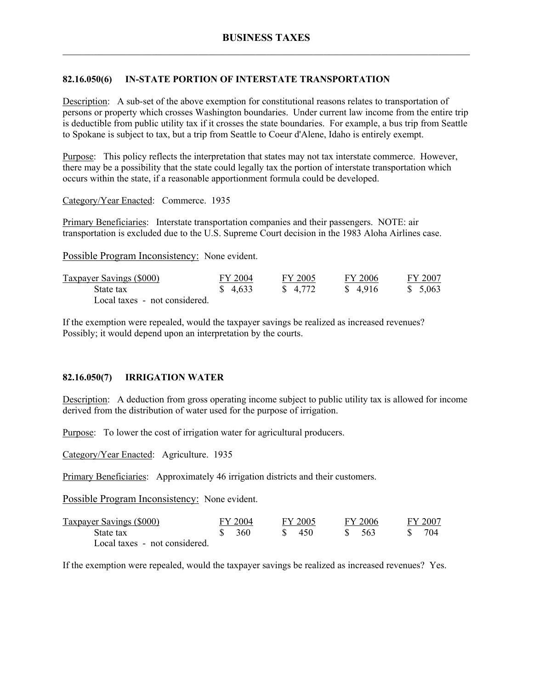# **82.16.050(6) IN-STATE PORTION OF INTERSTATE TRANSPORTATION**

Description: A sub-set of the above exemption for constitutional reasons relates to transportation of persons or property which crosses Washington boundaries. Under current law income from the entire trip is deductible from public utility tax if it crosses the state boundaries. For example, a bus trip from Seattle to Spokane is subject to tax, but a trip from Seattle to Coeur d'Alene, Idaho is entirely exempt.

Purpose: This policy reflects the interpretation that states may not tax interstate commerce. However, there may be a possibility that the state could legally tax the portion of interstate transportation which occurs within the state, if a reasonable apportionment formula could be developed.

Category/Year Enacted: Commerce. 1935

Primary Beneficiaries: Interstate transportation companies and their passengers. NOTE: air transportation is excluded due to the U.S. Supreme Court decision in the 1983 Aloha Airlines case.

Possible Program Inconsistency: None evident.

| <b>Taxpayer Savings (\$000)</b> | FY 2004  | FY 2005  | FY 2006 | FY 2007  |
|---------------------------------|----------|----------|---------|----------|
| State tax                       | \$ 4.633 | \$ 4,772 | \$4.916 | \$ 5.063 |
| Local taxes - not considered.   |          |          |         |          |

If the exemption were repealed, would the taxpayer savings be realized as increased revenues? Possibly; it would depend upon an interpretation by the courts.

# **82.16.050(7) IRRIGATION WATER**

Description: A deduction from gross operating income subject to public utility tax is allowed for income derived from the distribution of water used for the purpose of irrigation.

Purpose: To lower the cost of irrigation water for agricultural producers.

Category/Year Enacted: Agriculture. 1935

Primary Beneficiaries: Approximately 46 irrigation districts and their customers.

Possible Program Inconsistency: None evident.

| Taxpayer Savings (\$000)      | FY 2004 |               | FY 2005 | FY 2006 |  | FY 2007 |
|-------------------------------|---------|---------------|---------|---------|--|---------|
| State tax                     | - 360   | $\mathcal{S}$ | 450     | - 563   |  | 704     |
| Local taxes - not considered. |         |               |         |         |  |         |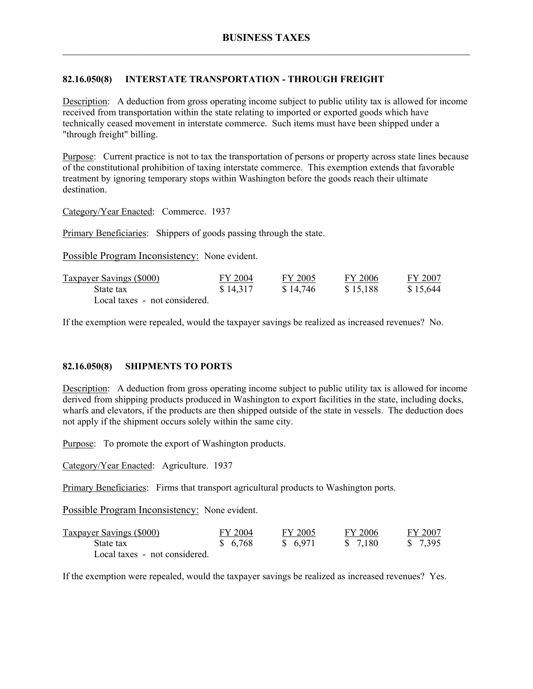# **82.16.050(8) INTERSTATE TRANSPORTATION - THROUGH FREIGHT**

Description: A deduction from gross operating income subject to public utility tax is allowed for income received from transportation within the state relating to imported or exported goods which have technically ceased movement in interstate commerce. Such items must have been shipped under a "through freight" billing.

Purpose: Current practice is not to tax the transportation of persons or property across state lines because of the constitutional prohibition of taxing interstate commerce. This exemption extends that favorable treatment by ignoring temporary stops within Washington before the goods reach their ultimate destination.

Category/Year Enacted: Commerce. 1937

Primary Beneficiaries: Shippers of goods passing through the state.

Possible Program Inconsistency: None evident.

| <b>Taxpayer Savings (\$000)</b> | FY 2004  | FY 2005  | FY 2006  | FY 2007  |
|---------------------------------|----------|----------|----------|----------|
| State tax                       | \$14,317 | \$14,746 | \$15,188 | \$15,644 |
| Local taxes - not considered.   |          |          |          |          |

If the exemption were repealed, would the taxpayer savings be realized as increased revenues? No.

# **82.16.050(8) SHIPMENTS TO PORTS**

Description: A deduction from gross operating income subject to public utility tax is allowed for income derived from shipping products produced in Washington to export facilities in the state, including docks, wharfs and elevators, if the products are then shipped outside of the state in vessels. The deduction does not apply if the shipment occurs solely within the same city.

Purpose: To promote the export of Washington products.

Category/Year Enacted: Agriculture. 1937

Primary Beneficiaries: Firms that transport agricultural products to Washington ports.

Possible Program Inconsistency: None evident.

| <b>Taxpayer Savings (\$000)</b> | FY 2004 | FY 2005  | FY 2006  | FY 2007  |
|---------------------------------|---------|----------|----------|----------|
| State tax                       | \$6,768 | \$ 6,971 | \$ 7.180 | \$ 7.395 |
| Local taxes - not considered.   |         |          |          |          |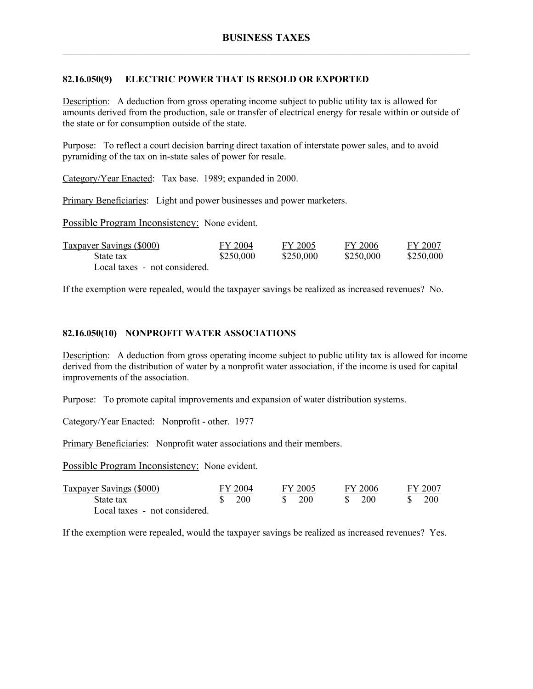### **82.16.050(9) ELECTRIC POWER THAT IS RESOLD OR EXPORTED**

Description: A deduction from gross operating income subject to public utility tax is allowed for amounts derived from the production, sale or transfer of electrical energy for resale within or outside of the state or for consumption outside of the state.

Purpose: To reflect a court decision barring direct taxation of interstate power sales, and to avoid pyramiding of the tax on in-state sales of power for resale.

Category/Year Enacted: Tax base. 1989; expanded in 2000.

Primary Beneficiaries: Light and power businesses and power marketers.

Possible Program Inconsistency: None evident.

| <b>Taxpayer Savings (\$000)</b> | FY 2004   | FY 2005   | FY 2006   | FY 2007   |
|---------------------------------|-----------|-----------|-----------|-----------|
| State tax                       | \$250,000 | \$250,000 | \$250,000 | \$250,000 |
| Local taxes - not considered.   |           |           |           |           |

If the exemption were repealed, would the taxpayer savings be realized as increased revenues? No.

#### **82.16.050(10) NONPROFIT WATER ASSOCIATIONS**

Description: A deduction from gross operating income subject to public utility tax is allowed for income derived from the distribution of water by a nonprofit water association, if the income is used for capital improvements of the association.

Purpose: To promote capital improvements and expansion of water distribution systems.

Category/Year Enacted: Nonprofit - other. 1977

Primary Beneficiaries: Nonprofit water associations and their members.

Possible Program Inconsistency: None evident.

| <b>Taxpayer Savings (\$000)</b> | FY 2004    | FY 2005 | FY 2006    |  | FY 2007 |
|---------------------------------|------------|---------|------------|--|---------|
| State tax                       | <b>200</b> | 200     | <b>200</b> |  | 200     |
| Local taxes - not considered.   |            |         |            |  |         |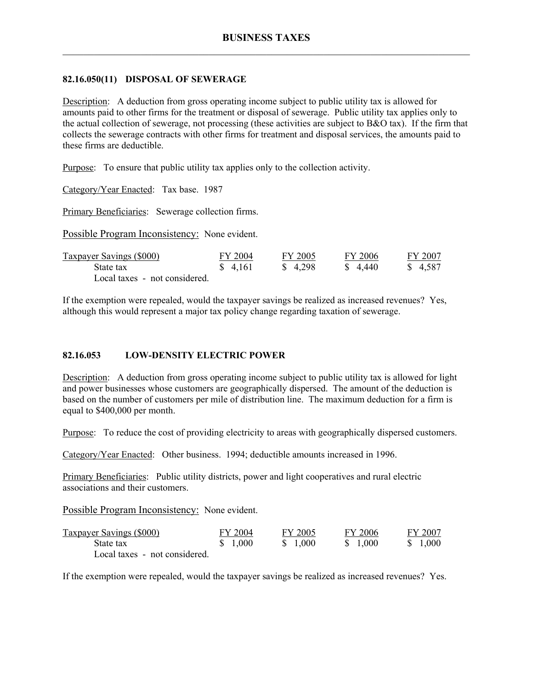### **82.16.050(11) DISPOSAL OF SEWERAGE**

Description: A deduction from gross operating income subject to public utility tax is allowed for amounts paid to other firms for the treatment or disposal of sewerage. Public utility tax applies only to the actual collection of sewerage, not processing (these activities are subject to B&O tax). If the firm that collects the sewerage contracts with other firms for treatment and disposal services, the amounts paid to these firms are deductible.

Purpose: To ensure that public utility tax applies only to the collection activity.

Category/Year Enacted: Tax base. 1987

Primary Beneficiaries: Sewerage collection firms.

Possible Program Inconsistency: None evident.

| <b>Taxpayer Savings (\$000)</b> | FY 2004  | FY 2005 | FY 2006  | FY 2007  |
|---------------------------------|----------|---------|----------|----------|
| State tax                       | \$ 4.161 | \$4.298 | \$ 4.440 | \$ 4,587 |
| Local taxes - not considered.   |          |         |          |          |

If the exemption were repealed, would the taxpayer savings be realized as increased revenues? Yes, although this would represent a major tax policy change regarding taxation of sewerage.

# **82.16.053 LOW-DENSITY ELECTRIC POWER**

Description: A deduction from gross operating income subject to public utility tax is allowed for light and power businesses whose customers are geographically dispersed. The amount of the deduction is based on the number of customers per mile of distribution line. The maximum deduction for a firm is equal to \$400,000 per month.

Purpose: To reduce the cost of providing electricity to areas with geographically dispersed customers.

Category/Year Enacted: Other business. 1994; deductible amounts increased in 1996.

Primary Beneficiaries: Public utility districts, power and light cooperatives and rural electric associations and their customers.

Possible Program Inconsistency: None evident.

| Taxpayer Savings (\$000)      | FY 2004 | FY 2005  | FY 2006  | FY 2007  |
|-------------------------------|---------|----------|----------|----------|
| State tax                     | \$1,000 | \$ 1.000 | \$ 1.000 | \$ 1,000 |
| Local taxes - not considered. |         |          |          |          |